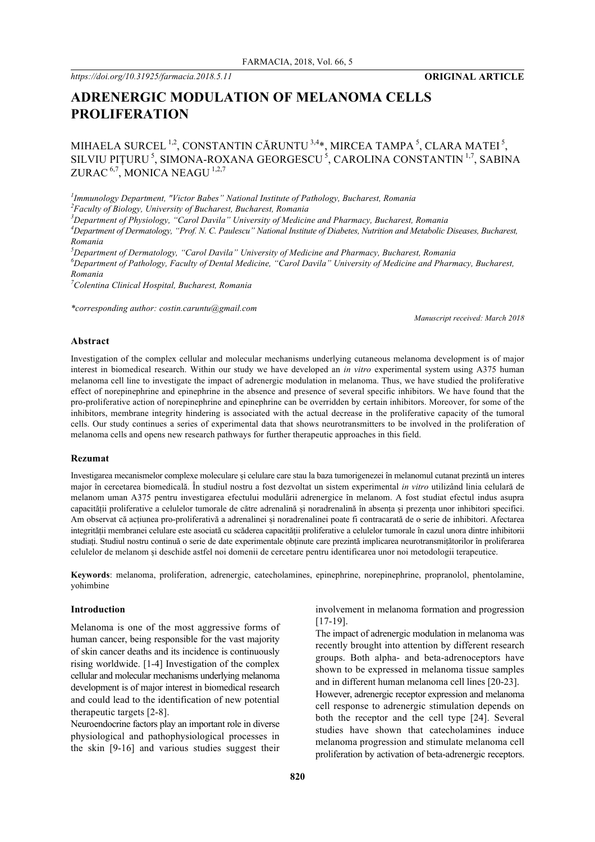# **ADRENERGIC MODULATION OF MELANOMA CELLS PROLIFERATION**

# MIHAELA SURCEL  $^{1,2}$ , CONSTANTIN CĂRUNTU  $^{3,4*}$ , MIRCEA TAMPA  $^5$ , CLARA MATEI  $^5$ , SILVIU PIȚURU<sup>5</sup>, SIMONA-ROXANA GEORGESCU<sup>5</sup>, CAROLINA CONSTANTIN <sup>1,7</sup>, SABINA  $ZURAC$ <sup>6,7</sup>, MONICA NEAGU<sup>1,2,7</sup>

*1 Immunology Department, "Victor Babes" National Institute of Pathology, Bucharest, Romania*

*2 Faculty of Biology, University of Bucharest, Bucharest, Romania*

*3 Department of Physiology, "Carol Davila" University of Medicine and Pharmacy, Bucharest, Romania*

*4 Department of Dermatology, "Prof. N. C. Paulescu" National Institute of Diabetes, Nutrition and Metabolic Diseases, Bucharest, Romania*

*5 Department of Dermatology, "Carol Davila" University of Medicine and Pharmacy, Bucharest, Romania 6 Department of Pathology, Faculty of Dental Medicine, "Carol Davila" University of Medicine and Pharmacy, Bucharest, Romania*

*7 Colentina Clinical Hospital, Bucharest, Romania*

*\*corresponding author: costin.caruntu@gmail.com*

*Manuscript received: March 2018*

#### **Abstract**

Investigation of the complex cellular and molecular mechanisms underlying cutaneous melanoma development is of major interest in biomedical research. Within our study we have developed an *in vitro* experimental system using A375 human melanoma cell line to investigate the impact of adrenergic modulation in melanoma. Thus, we have studied the proliferative effect of norepinephrine and epinephrine in the absence and presence of several specific inhibitors. We have found that the pro-proliferative action of norepinephrine and epinephrine can be overridden by certain inhibitors. Moreover, for some of the inhibitors, membrane integrity hindering is associated with the actual decrease in the proliferative capacity of the tumoral cells. Our study continues a series of experimental data that shows neurotransmitters to be involved in the proliferation of melanoma cells and opens new research pathways for further therapeutic approaches in this field.

#### **Rezumat**

Investigarea mecanismelor complexe moleculare și celulare care stau la baza tumorigenezei în melanomul cutanat prezintă un interes major în cercetarea biomedicală. În studiul nostru a fost dezvoltat un sistem experimental *in vitro* utilizând linia celulară de melanom uman A375 pentru investigarea efectului modulării adrenergice în melanom. A fost studiat efectul indus asupra capacității proliferative a celulelor tumorale de către adrenalină și noradrenalină în absența și prezența unor inhibitori specifici. Am observat că acțiunea pro-proliferativă a adrenalinei și noradrenalinei poate fi contracarată de o serie de inhibitori. Afectarea integrității membranei celulare este asociată cu scăderea capacității proliferative a celulelor tumorale în cazul unora dintre inhibitorii studiați. Studiul nostru continuă o serie de date experimentale obținute care prezintă implicarea neurotransmițătorilor în proliferarea celulelor de melanom și deschide astfel noi domenii de cercetare pentru identificarea unor noi metodologii terapeutice.

**Keywords**: melanoma, proliferation, adrenergic, catecholamines, epinephrine, norepinephrine, propranolol, phentolamine, yohimbine

# **Introduction**

Melanoma is one of the most aggressive forms of human cancer, being responsible for the vast majority of skin cancer deaths and its incidence is continuously rising worldwide. [1-4] Investigation of the complex cellular and molecular mechanisms underlying melanoma development is of major interest in biomedical research and could lead to the identification of new potential therapeutic targets [2-8].

Neuroendocrine factors play an important role in diverse physiological and pathophysiological processes in the skin [9-16] and various studies suggest their involvement in melanoma formation and progression [17-19].

The impact of adrenergic modulation in melanoma was recently brought into attention by different research groups. Both alpha- and beta-adrenoceptors have shown to be expressed in melanoma tissue samples and in different human melanoma cell lines [20-23]. However, adrenergic receptor expression and melanoma cell response to adrenergic stimulation depends on both the receptor and the cell type [24]. Several studies have shown that catecholamines induce melanoma progression and stimulate melanoma cell proliferation by activation of beta-adrenergic receptors.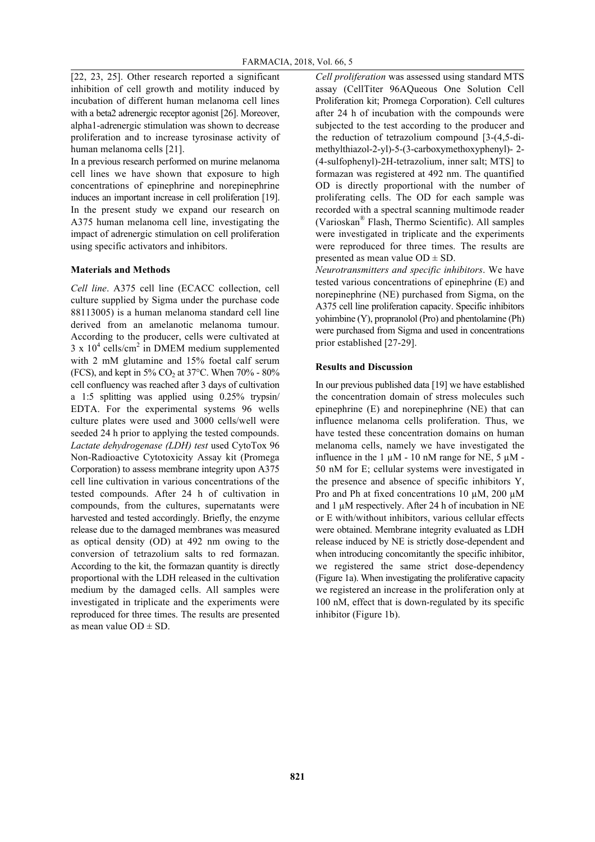[22, 23, 25]. Other research reported a significant inhibition of cell growth and motility induced by incubation of different human melanoma cell lines with a beta2 adrenergic receptor agonist [26]. Moreover, alpha1-adrenergic stimulation was shown to decrease proliferation and to increase tyrosinase activity of human melanoma cells [21].

In a previous research performed on murine melanoma cell lines we have shown that exposure to high concentrations of epinephrine and norepinephrine induces an important increase in cell proliferation [19]. In the present study we expand our research on A375 human melanoma cell line, investigating the impact of adrenergic stimulation on cell proliferation using specific activators and inhibitors.

#### **Materials and Methods**

*Cell line*. A375 cell line (ECACC collection, cell culture supplied by Sigma under the purchase code 88113005) is a human melanoma standard cell line derived from an amelanotic melanoma tumour. According to the producer, cells were cultivated at  $3 \times 10^4$  cells/cm<sup>2</sup> in DMEM medium supplemented with 2 mM glutamine and 15% foetal calf serum (FCS), and kept in 5% CO<sub>2</sub> at 37°C. When  $70\%$  - 80% cell confluency was reached after 3 days of cultivation a 1:5 splitting was applied using 0.25% trypsin/ EDTA. For the experimental systems 96 wells culture plates were used and 3000 cells/well were seeded 24 h prior to applying the tested compounds. *Lactate dehydrogenase (LDH) test* used CytoTox 96 Non-Radioactive Cytotoxicity Assay kit (Promega Corporation) to assess membrane integrity upon A375 cell line cultivation in various concentrations of the tested compounds. After 24 h of cultivation in compounds, from the cultures, supernatants were harvested and tested accordingly. Briefly, the enzyme release due to the damaged membranes was measured as optical density (OD) at 492 nm owing to the conversion of tetrazolium salts to red formazan. According to the kit, the formazan quantity is directly proportional with the LDH released in the cultivation medium by the damaged cells. All samples were investigated in triplicate and the experiments were reproduced for three times. The results are presented as mean value  $OD \pm SD$ .

*Cell proliferation* was assessed using standard MTS assay (CellTiter 96AQueous One Solution Cell Proliferation kit; Promega Corporation). Cell cultures after 24 h of incubation with the compounds were subjected to the test according to the producer and the reduction of tetrazolium compound [3-(4,5-dimethylthiazol-2-yl)-5-(3-carboxymethoxyphenyl)- 2- (4-sulfophenyl)-2H-tetrazolium, inner salt; MTS] to formazan was registered at 492 nm. The quantified OD is directly proportional with the number of proliferating cells. The OD for each sample was recorded with a spectral scanning multimode reader (Varioskan® Flash, Thermo Scientific). All samples were investigated in triplicate and the experiments were reproduced for three times. The results are presented as mean value  $OD \pm SD$ .

*Neurotransmitters and specific inhibitors*. We have tested various concentrations of epinephrine (E) and norepinephrine (NE) purchased from Sigma, on the A375 cell line proliferation capacity. Specific inhibitors yohimbine (Y), propranolol (Pro) and phentolamine (Ph) were purchased from Sigma and used in concentrations prior established [27-29].

# **Results and Discussion**

In our previous published data [19] we have established the concentration domain of stress molecules such epinephrine (E) and norepinephrine (NE) that can influence melanoma cells proliferation. Thus, we have tested these concentration domains on human melanoma cells, namely we have investigated the influence in the  $1 \mu M - 10 \mu M$  range for NE,  $5 \mu M -$ 50 nM for E; cellular systems were investigated in the presence and absence of specific inhibitors Y, Pro and Ph at fixed concentrations 10 µM, 200 µM and  $1 \mu$ M respectively. After 24 h of incubation in NE or E with/without inhibitors, various cellular effects were obtained. Membrane integrity evaluated as LDH release induced by NE is strictly dose-dependent and when introducing concomitantly the specific inhibitor, we registered the same strict dose-dependency (Figure 1a). When investigating the proliferative capacity we registered an increase in the proliferation only at 100 nM, effect that is down-regulated by its specific inhibitor (Figure 1b).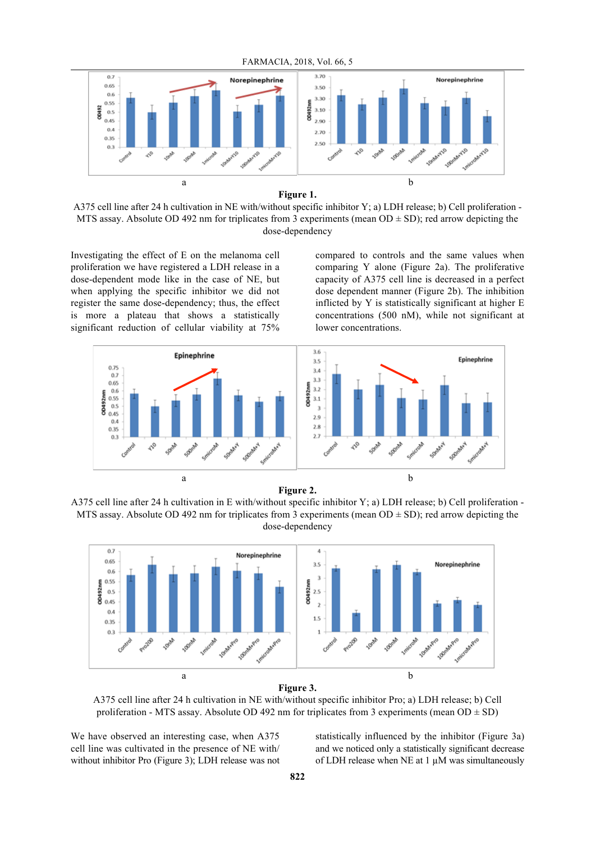



A375 cell line after 24 h cultivation in NE with/without specific inhibitor Y; a) LDH release; b) Cell proliferation - MTS assay. Absolute OD 492 nm for triplicates from 3 experiments (mean  $OD \pm SD$ ); red arrow depicting the dose-dependency

Investigating the effect of E on the melanoma cell proliferation we have registered a LDH release in a dose-dependent mode like in the case of NE, but when applying the specific inhibitor we did not register the same dose-dependency; thus, the effect is more a plateau that shows a statistically significant reduction of cellular viability at 75%

compared to controls and the same values when comparing Y alone (Figure 2a). The proliferative capacity of A375 cell line is decreased in a perfect dose dependent manner (Figure 2b). The inhibition inflicted by Y is statistically significant at higher E concentrations (500 nM), while not significant at lower concentrations.





A375 cell line after 24 h cultivation in E with/without specific inhibitor Y; a) LDH release; b) Cell proliferation - MTS assay. Absolute OD 492 nm for triplicates from 3 experiments (mean  $OD \pm SD$ ); red arrow depicting the dose-dependency



**Figure 3.**

A375 cell line after 24 h cultivation in NE with/without specific inhibitor Pro; a) LDH release; b) Cell proliferation - MTS assay. Absolute OD 492 nm for triplicates from 3 experiments (mean  $OD = SD$ )

We have observed an interesting case, when A375 cell line was cultivated in the presence of NE with/ without inhibitor Pro (Figure 3); LDH release was not statistically influenced by the inhibitor (Figure 3a) and we noticed only a statistically significant decrease of LDH release when NE at 1 µM was simultaneously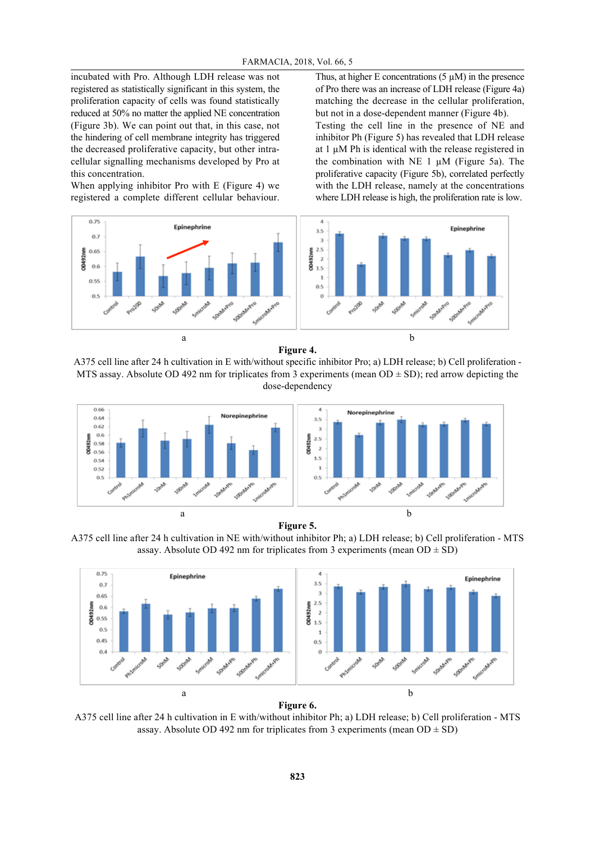incubated with Pro. Although LDH release was not registered as statistically significant in this system, the proliferation capacity of cells was found statistically reduced at 50% no matter the applied NE concentration (Figure 3b). We can point out that, in this case, not the hindering of cell membrane integrity has triggered the decreased proliferative capacity, but other intracellular signalling mechanisms developed by Pro at this concentration.

When applying inhibitor Pro with E (Figure 4) we registered a complete different cellular behaviour.

Thus, at higher E concentrations  $(5 \mu M)$  in the presence of Pro there was an increase of LDH release (Figure 4a) matching the decrease in the cellular proliferation, but not in a dose-dependent manner (Figure 4b). Testing the cell line in the presence of NE and inhibitor Ph (Figure 5) has revealed that LDH release at 1 µM Ph is identical with the release registered in the combination with NE 1  $\mu$ M (Figure 5a). The proliferative capacity (Figure 5b), correlated perfectly with the LDH release, namely at the concentrations where LDH release is high, the proliferation rate is low.





A375 cell line after 24 h cultivation in E with/without specific inhibitor Pro; a) LDH release; b) Cell proliferation - MTS assay. Absolute OD 492 nm for triplicates from 3 experiments (mean  $OD \pm SD$ ); red arrow depicting the dose-dependency





A375 cell line after 24 h cultivation in NE with/without inhibitor Ph; a) LDH release; b) Cell proliferation - MTS assay. Absolute OD 492 nm for triplicates from 3 experiments (mean  $OD \pm SD$ )



**Figure 6.**

A375 cell line after 24 h cultivation in E with/without inhibitor Ph; a) LDH release; b) Cell proliferation - MTS assay. Absolute OD 492 nm for triplicates from 3 experiments (mean  $OD \pm SD$ )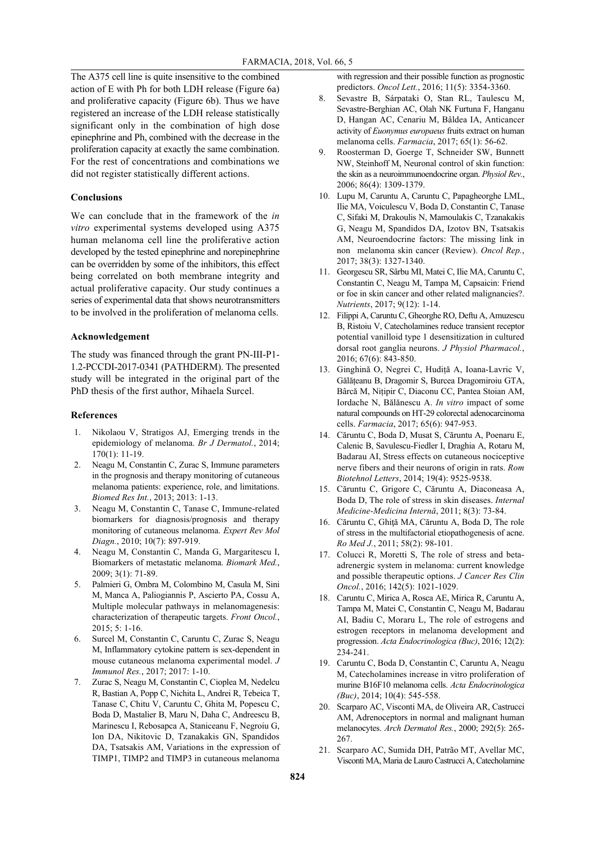The A375 cell line is quite insensitive to the combined action of E with Ph for both LDH release (Figure 6a) and proliferative capacity (Figure 6b). Thus we have registered an increase of the LDH release statistically significant only in the combination of high dose epinephrine and Ph, combined with the decrease in the proliferation capacity at exactly the same combination. For the rest of concentrations and combinations we did not register statistically different actions.

# **Conclusions**

We can conclude that in the framework of the *in vitro* experimental systems developed using A375 human melanoma cell line the proliferative action developed by the tested epinephrine and norepinephrine can be overridden by some of the inhibitors, this effect being correlated on both membrane integrity and actual proliferative capacity. Our study continues a series of experimental data that shows neurotransmitters to be involved in the proliferation of melanoma cells.

# **Acknowledgement**

The study was financed through the grant PN-III-P1- 1.2-PCCDI-2017-0341 (PATHDERM). The presented study will be integrated in the original part of the PhD thesis of the first author, Mihaela Surcel.

# **References**

- 1. Nikolaou V, Stratigos AJ, Emerging trends in the epidemiology of melanoma. *Br J Dermatol.*, 2014; 170(1): 11-19.
- 2. Neagu M, Constantin C, Zurac S, Immune parameters in the prognosis and therapy monitoring of cutaneous melanoma patients: experience, role, and limitations. *Biomed Res Int.*, 2013; 2013: 1-13.
- 3. Neagu M, Constantin C, Tanase C, Immune-related biomarkers for diagnosis/prognosis and therapy monitoring of cutaneous melanoma. *Expert Rev Mol Diagn.*, 2010; 10(7): 897-919.
- 4. Neagu M, Constantin C, Manda G, Margaritescu I, Biomarkers of metastatic melanoma. *Biomark Med.*, 2009; 3(1): 71-89.
- 5. Palmieri G, Ombra M, Colombino M, Casula M, Sini M, Manca A, Paliogiannis P, Ascierto PA, Cossu A, Multiple molecular pathways in melanomagenesis: characterization of therapeutic targets. *Front Oncol.*, 2015; 5: 1-16.
- 6. Surcel M, Constantin C, Caruntu C, Zurac S, Neagu M, Inflammatory cytokine pattern is sex-dependent in mouse cutaneous melanoma experimental model. *J Immunol Res.*, 2017; 2017: 1-10.
- 7. Zurac S, Neagu M, Constantin C, Cioplea M, Nedelcu R, Bastian A, Popp C, Nichita L, Andrei R, Tebeica T, Tanase C, Chitu V, Caruntu C, Ghita M, Popescu C, Boda D, Mastalier B, Maru N, Daha C, Andreescu B, Marinescu I, Rebosapca A, Staniceanu F, Negroiu G, Ion DA, Nikitovic D, Tzanakakis GN, Spandidos DA, Tsatsakis AM, Variations in the expression of TIMP1, TIMP2 and TIMP3 in cutaneous melanoma

with regression and their possible function as prognostic predictors. *Oncol Lett.*, 2016; 11(5): 3354-3360.

- 8. Sevastre B, Sárpataki O, Stan RL, Taulescu M, Sevastre-Berghian AC, Olah NK Furtuna F, Hanganu D, Hangan AC, Cenariu M, Bâldea IA, Anticancer activity of *Euonymus europaeus* fruits extract on human melanoma cells. *Farmacia*, 2017; 65(1): 56-62.
- 9. Roosterman D, Goerge T, Schneider SW, Bunnett NW, Steinhoff M, Neuronal control of skin function: the skin as a neuroimmunoendocrine organ. *Physiol Rev.*, 2006; 86(4): 1309-1379.
- 10. Lupu M, Caruntu A, Caruntu C, Papagheorghe LML, Ilie MA, Voiculescu V, Boda D, Constantin C, Tanase C, Sifaki M, Drakoulis N, Mamoulakis C, Tzanakakis G, Neagu M, Spandidos DA, Izotov BN, Tsatsakis AM, Neuroendocrine factors: The missing link in non melanoma skin cancer (Review). Oncol Rep., 2017; 38(3): 1327-1340.
- 11. Georgescu SR, Sârbu MI, Matei C, Ilie MA, Caruntu C, Constantin C, Neagu M, Tampa M, Capsaicin: Friend or foe in skin cancer and other related malignancies?. *Nutrients*, 2017; 9(12): 1-14.
- 12. Filippi A, Caruntu C, Gheorghe RO, Deftu A, Amuzescu B, Ristoiu V, Catecholamines reduce transient receptor potential vanilloid type 1 desensitization in cultured dorsal root ganglia neurons. *J Physiol Pharmacol.*, 2016; 67(6): 843-850.
- 13. Ginghină O, Negrei C, Hudiță A, Ioana-Lavric V, Gălățeanu B, Dragomir S, Burcea Dragomiroiu GTA, Bârcă M, Nițipir C, Diaconu CC, Pantea Stoian AM, Iordache N, Bălănescu A. *In vitro* impact of some natural compounds on HT-29 colorectal adenocarcinoma cells. *Farmacia*, 2017; 65(6): 947-953.
- 14. Căruntu C, Boda D, Musat S, Căruntu A, Poenaru E, Calenic B, Savulescu-Fiedler I, Draghia A, Rotaru M, Badarau AI, Stress effects on cutaneous nociceptive nerve fibers and their neurons of origin in rats. *Rom Biotehnol Letters*, 2014; 19(4): 9525-9538.
- 15. Căruntu C, Grigore C, Căruntu A, Diaconeasa A, Boda D, The role of stress in skin diseases. *Internal Medicine-Medicina Internă*, 2011; 8(3): 73-84.
- 16. Căruntu C, Ghiţă MA, Căruntu A, Boda D, The role of stress in the multifactorial etiopathogenesis of acne. *Ro Med J.*, 2011; 58(2): 98-101.
- 17. Colucci R, Moretti S, The role of stress and betaadrenergic system in melanoma: current knowledge and possible therapeutic options. *J Cancer Res Clin Oncol.*, 2016; 142(5): 1021-1029.
- 18. Caruntu C, Mirica A, Rosca AE, Mirica R, Caruntu A, Tampa M, Matei C, Constantin C, Neagu M, Badarau AI, Badiu C, Moraru L, The role of estrogens and estrogen receptors in melanoma development and progression. *Acta Endocrinologica (Buc)*, 2016; 12(2): 234-241.
- 19. Caruntu C, Boda D, Constantin C, Caruntu A, Neagu M, Catecholamines increase in vitro proliferation of murine B16F10 melanoma cells. *Acta Endocrinologica (Buc)*, 2014; 10(4): 545-558.
- 20. Scarparo AC, Visconti MA, de Oliveira AR, Castrucci AM, Adrenoceptors in normal and malignant human melanocytes. *Arch Dermatol Res.*, 2000; 292(5): 265- 267.
- 21. Scarparo AC, Sumida DH, Patrão MT, Avellar MC, Visconti MA, Maria de Lauro Castrucci A, Catecholamine